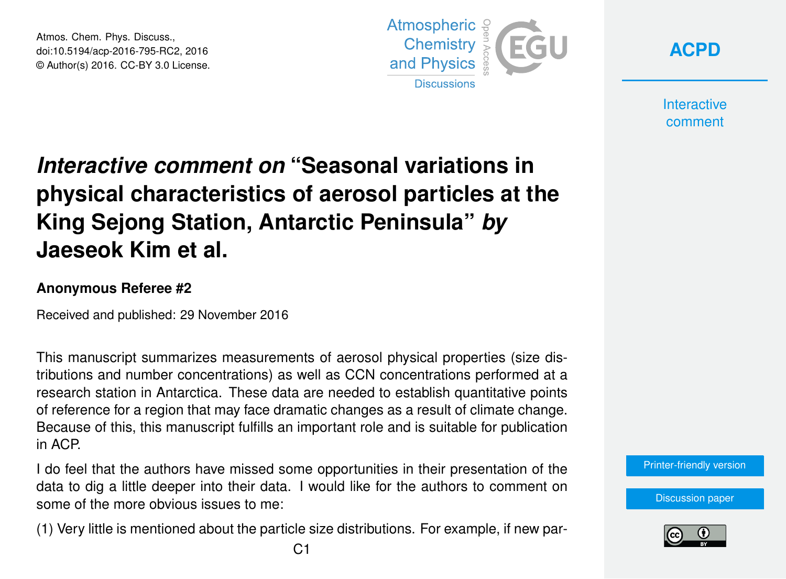Atmos. Chem. Phys. Discuss., doi:10.5194/acp-2016-795-RC2, 2016 © Author(s) 2016. CC-BY 3.0 License.





**Interactive** comment

## *Interactive comment on* **"Seasonal variations in physical characteristics of aerosol particles at the King Sejong Station, Antarctic Peninsula"** *by* **Jaeseok Kim et al.**

## **Anonymous Referee #2**

Received and published: 29 November 2016

This manuscript summarizes measurements of aerosol physical properties (size distributions and number concentrations) as well as CCN concentrations performed at a research station in Antarctica. These data are needed to establish quantitative points of reference for a region that may face dramatic changes as a result of climate change. Because of this, this manuscript fulfills an important role and is suitable for publication in ACP.

I do feel that the authors have missed some opportunities in their presentation of the data to dig a little deeper into their data. I would like for the authors to comment on some of the more obvious issues to me:

(1) Very little is mentioned about the particle size distributions. For example, if new par-

[Printer-friendly version](http://www.atmos-chem-phys-discuss.net/acp-2016-795/acp-2016-795-RC2-print.pdf)

[Discussion paper](http://www.atmos-chem-phys-discuss.net/acp-2016-795)

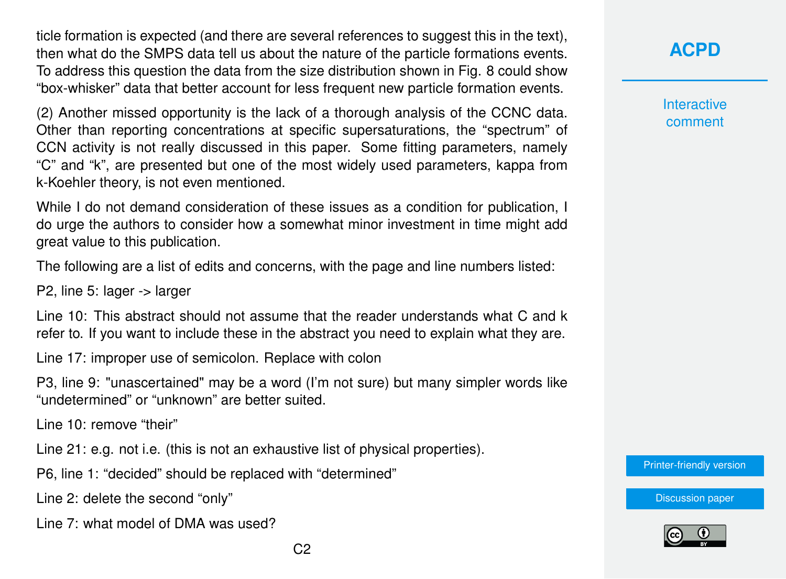ticle formation is expected (and there are several references to suggest this in the text). then what do the SMPS data tell us about the nature of the particle formations events. To address this question the data from the size distribution shown in Fig. 8 could show "box-whisker" data that better account for less frequent new particle formation events.

(2) Another missed opportunity is the lack of a thorough analysis of the CCNC data. Other than reporting concentrations at specific supersaturations, the "spectrum" of CCN activity is not really discussed in this paper. Some fitting parameters, namely "C" and "k", are presented but one of the most widely used parameters, kappa from k-Koehler theory, is not even mentioned.

While I do not demand consideration of these issues as a condition for publication, I do urge the authors to consider how a somewhat minor investment in time might add great value to this publication.

The following are a list of edits and concerns, with the page and line numbers listed:

P2, line 5: lager -> larger

Line 10: This abstract should not assume that the reader understands what C and k refer to. If you want to include these in the abstract you need to explain what they are.

Line 17: improper use of semicolon. Replace with colon

P3, line 9: "unascertained" may be a word (I'm not sure) but many simpler words like "undetermined" or "unknown" are better suited.

Line 10: remove "their"

Line 21: e.g. not i.e. (this is not an exhaustive list of physical properties).

P6, line 1: "decided" should be replaced with "determined"

Line 2: delete the second "only"

Line 7: what model of DMA was used?

**Interactive** comment

[Printer-friendly version](http://www.atmos-chem-phys-discuss.net/acp-2016-795/acp-2016-795-RC2-print.pdf)

[Discussion paper](http://www.atmos-chem-phys-discuss.net/acp-2016-795)